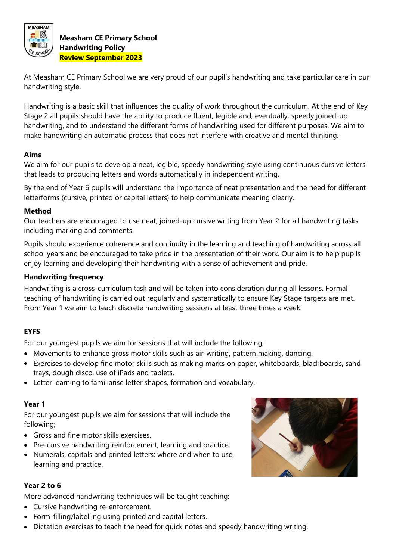

At Measham CE Primary School we are very proud of our pupil's handwriting and take particular care in our handwriting style.

Handwriting is a basic skill that influences the quality of work throughout the curriculum. At the end of Key Stage 2 all pupils should have the ability to produce fluent, legible and, eventually, speedy joined-up handwriting, and to understand the different forms of handwriting used for different purposes. We aim to make handwriting an automatic process that does not interfere with creative and mental thinking.

#### **Aims**

We aim for our pupils to develop a neat, legible, speedy handwriting style using continuous cursive letters that leads to producing letters and words automatically in independent writing.

By the end of Year 6 pupils will understand the importance of neat presentation and the need for different letterforms (cursive, printed or capital letters) to help communicate meaning clearly.

## **Method**

Our teachers are encouraged to use neat, joined-up cursive writing from Year 2 for all handwriting tasks including marking and comments.

Pupils should experience coherence and continuity in the learning and teaching of handwriting across all school years and be encouraged to take pride in the presentation of their work. Our aim is to help pupils enjoy learning and developing their handwriting with a sense of achievement and pride.

## **Handwriting frequency**

Handwriting is a cross-curriculum task and will be taken into consideration during all lessons. Formal teaching of handwriting is carried out regularly and systematically to ensure Key Stage targets are met. From Year 1 we aim to teach discrete handwriting sessions at least three times a week.

## **EYFS**

For our youngest pupils we aim for sessions that will include the following;

- Movements to enhance gross motor skills such as air-writing, pattern making, dancing.
- Exercises to develop fine motor skills such as making marks on paper, whiteboards, blackboards, sand trays, dough disco, use of iPads and tablets.
- Letter learning to familiarise letter shapes, formation and vocabulary.

## **Year 1**

For our youngest pupils we aim for sessions that will include the following;

- Gross and fine motor skills exercises.
- Pre-cursive handwriting reinforcement, learning and practice.
- Numerals, capitals and printed letters: where and when to use, learning and practice.

## **Year 2 to 6**

More advanced handwriting techniques will be taught teaching:

- Cursive handwriting re-enforcement.
- Form-filling/labelling using printed and capital letters.
- Dictation exercises to teach the need for quick notes and speedy handwriting writing.

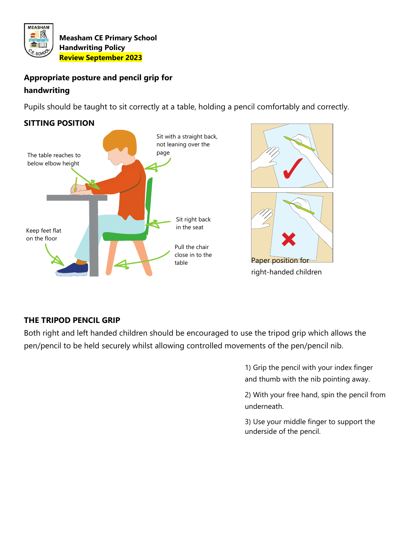

# **Appropriate posture and pencil grip for handwriting**

Pupils should be taught to sit correctly at a table, holding a pencil comfortably and correctly.

# **SITTING POSITION**





right-handed children

# **THE TRIPOD PENCIL GRIP**

Both right and left handed children should be encouraged to use the tripod grip which allows the pen/pencil to be held securely whilst allowing controlled movements of the pen/pencil nib.

> 1) Grip the pencil with your index finger and thumb with the nib pointing away.

2) With your free hand, spin the pencil from underneath.

3) Use your middle finger to support the underside of the pencil.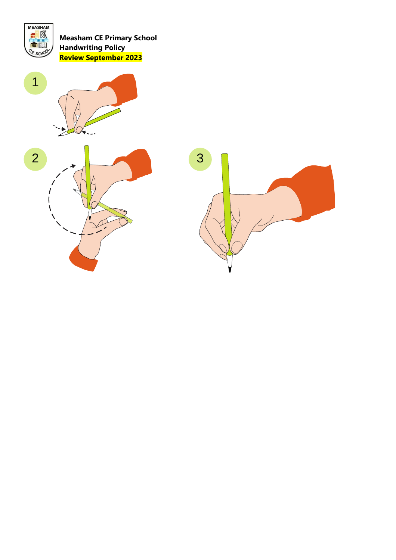





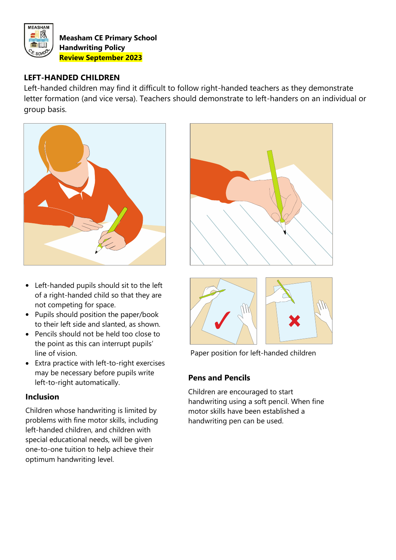

## **LEFT-HANDED CHILDREN**

Left-handed children may find it difficult to follow right-handed teachers as they demonstrate letter formation (and vice versa). Teachers should demonstrate to left-handers on an individual or group basis.



- Left-handed pupils should sit to the left of a right-handed child so that they are not competing for space.
- Pupils should position the paper/book to their left side and slanted, as shown.
- Pencils should not be held too close to the point as this can interrupt pupils' line of vision.
- Extra practice with left-to-right exercises may be necessary before pupils write left-to-right automatically.

## **Inclusion**

Children whose handwriting is limited by problems with fine motor skills, including left-handed children, and children with special educational needs, will be given one-to-one tuition to help achieve their optimum handwriting level.





Paper position for left-handed children

# **Pens and Pencils**

Children are encouraged to start handwriting using a soft pencil. When fine motor skills have been established a handwriting pen can be used.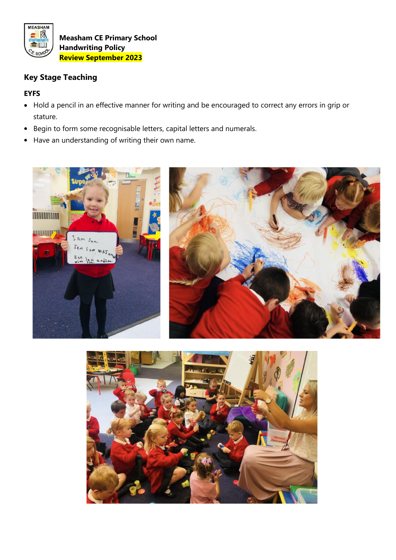

# **Key Stage Teaching**

## **EYFS**

- Hold a pencil in an effective manner for writing and be encouraged to correct any errors in grip or stature.
- Begin to form some recognisable letters, capital letters and numerals.
- Have an understanding of writing their own name.